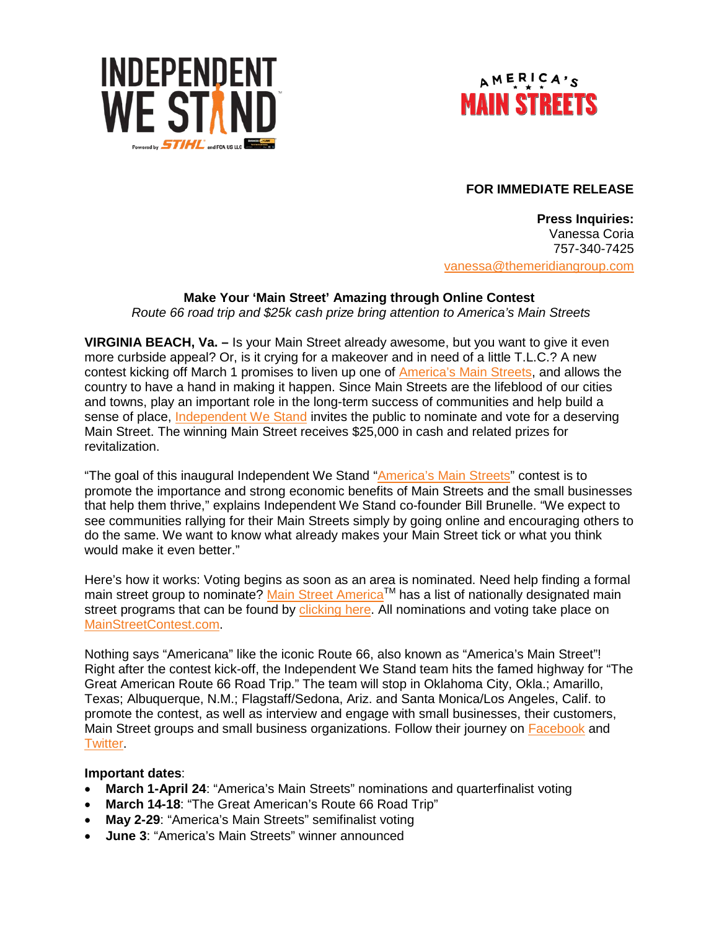



# **FOR IMMEDIATE RELEASE**

**Press Inquiries:** Vanessa Coria 757-340-7425 [vanessa@themeridiangroup.com](mailto:vanessa@themeridiangroup.com)

# **Make Your 'Main Street' Amazing through Online Contest**

*Route 66 road trip and \$25k cash prize bring attention to America's Main Streets*

**VIRGINIA BEACH, Va. –** Is your Main Street already awesome, but you want to give it even more curbside appeal? Or, is it crying for a makeover and in need of a little T.L.C.? A new contest kicking off March 1 promises to liven up one of [America's Main Streets,](http://www.mainstreetcontest.com/) and allows the country to have a hand in making it happen. Since Main Streets are the lifeblood of our cities and towns, play an important role in the long-term success of communities and help build a sense of place, [Independent We Stand](http://www.independentwestand.org/learn-more/about/) invites the public to nominate and vote for a deserving Main Street. The winning Main Street receives \$25,000 in cash and related prizes for revitalization.

"The goal of this inaugural Independent We Stand ["America's Main Streets"](http://www.mainstreetcontest.com/) contest is to promote the importance and strong economic benefits of Main Streets and the small businesses that help them thrive," explains Independent We Stand co-founder Bill Brunelle. "We expect to see communities rallying for their Main Streets simply by going online and encouraging others to do the same. We want to know what already makes your Main Street tick or what you think would make it even better."

Here's how it works: Voting begins as soon as an area is nominated. Need help finding a formal main street group to nominate? Main Street America™ has a list of nationally designated main street programs that can be found by [clicking here.](http://www.preservationnation.org/main-street/about-main-street/the-programs/listing-of-main-street-1-2.html#.VrS9VPkrJpQ) All nominations and voting take place on [MainStreetContest.com.](http://www.mainstreetcontest.com/)

Nothing says "Americana" like the iconic Route 66, also known as "America's Main Street"! Right after the contest kick-off, the Independent We Stand team hits the famed highway for "The Great American Route 66 Road Trip." The team will stop in Oklahoma City, Okla.; Amarillo, Texas; Albuquerque, N.M.; Flagstaff/Sedona, Ariz. and Santa Monica/Los Angeles, Calif. to promote the contest, as well as interview and engage with small businesses, their customers, Main Street groups and small business organizations. Follow their journey on [Facebook](https://www.facebook.com/independentwestand/?fref=ts) and **Twitter** 

## **Important dates**:

- **March 1-April 24**: "America's Main Streets" nominations and quarterfinalist voting
- **March 14-18**: "The Great American's Route 66 Road Trip"
- **May 2-29**: "America's Main Streets" semifinalist voting
- **June 3**: "America's Main Streets" winner announced